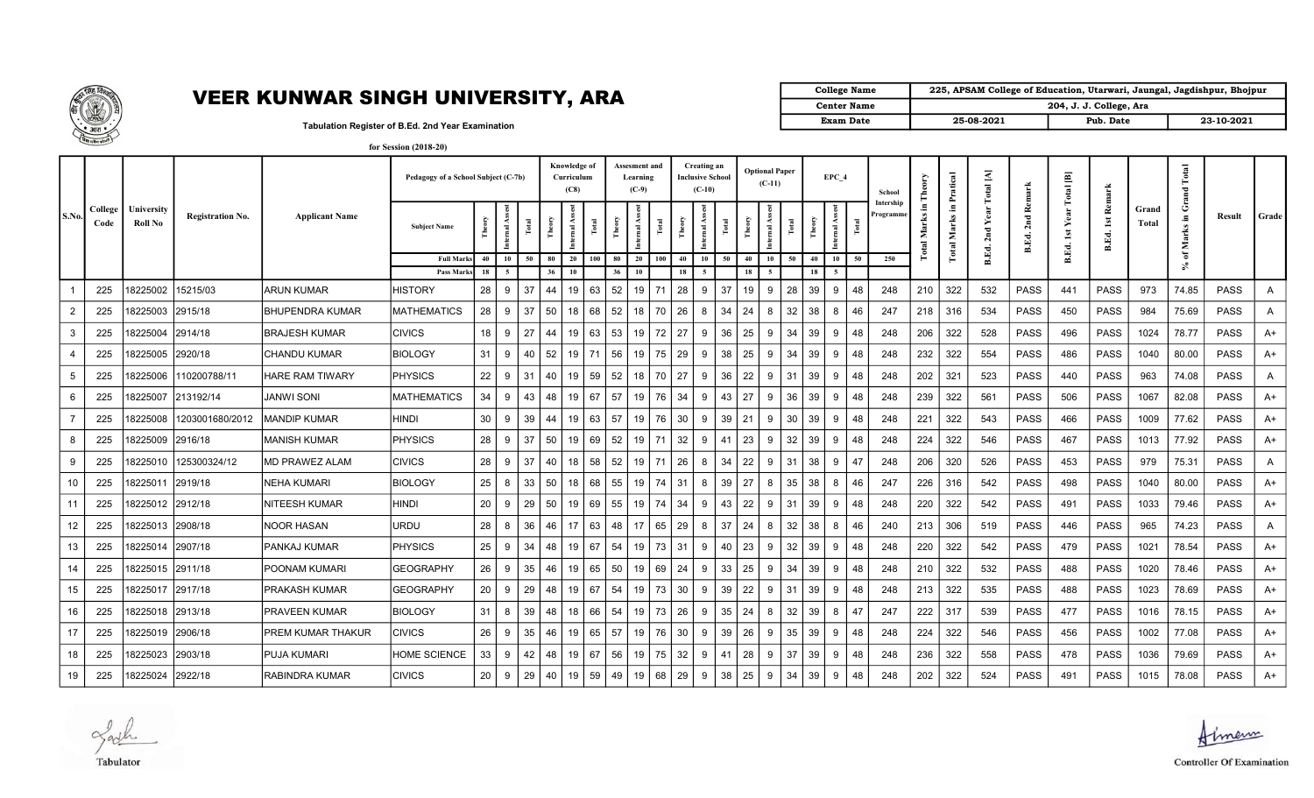

## VEER KUNWAR SINGH UNIVERSITY, ARA Center Name

| <b>College Name</b> | 225, APSAM College of Education, Utarwari, Jaungal, Jagdishpur, Bhojpur |           |            |
|---------------------|-------------------------------------------------------------------------|-----------|------------|
| <b>Center Name</b>  | 204, J. J. College, Ara                                                 |           |            |
| <b>Exam Date</b>    | 25-08-2021                                                              | Pub. Date | 23-10-2021 |

Tabulation Register of B.Ed. 2nd Year Examination for Session (2018-20)

|                |                 |                       |                         |                        | Pedagogy of a School Subject (C-7b) |      |                         |       | Knowledge of<br>Curriculum<br>(C8) |       |        | Assesment and<br>Learning<br>$(C-9)$ |       |                | Creating an<br><b>Inclusive School</b><br>$(C-10)$ |    |        | <b>Optional Paper</b><br>$(C-11)$ |        | EPC 4          |    | School               | ΟĽΔ<br>Ĕ                        | Pratical             | $\bf Total$ $[\bf A]$ |                     | 画<br>Total | Remark       |                | Total<br>Grand       |             |       |
|----------------|-----------------|-----------------------|-------------------------|------------------------|-------------------------------------|------|-------------------------|-------|------------------------------------|-------|--------|--------------------------------------|-------|----------------|----------------------------------------------------|----|--------|-----------------------------------|--------|----------------|----|----------------------|---------------------------------|----------------------|-----------------------|---------------------|------------|--------------|----------------|----------------------|-------------|-------|
| S.No.          | College<br>Code | University<br>Roll No | <b>Registration No.</b> | <b>Applicant Name</b>  | <b>Subject Name</b>                 | Theo | Ass.<br><b>Internal</b> | Total | $\mathbb{R}$<br>$P_{\text{me}}$    | Total | Theory | ernal                                | Total | $_{\rm{rneq}}$ | $\mathbf{r}$<br>nternal                            |    | Theory | Ass.<br>Total<br>Internal         | Theory | As<br>nternal. |    | Intership<br>rogramm | Ξ.<br>rks<br>Ma<br><b>Fotal</b> | Е<br>Marks<br>Total. |                       | 2nd Remark<br>B.Ed. | Yea<br>1st | 1st<br>B.Ed. | Grand<br>Total | Æ,<br><b>Marks</b>   | Result      | Grade |
|                |                 |                       |                         |                        | <b>Full Mark</b>                    | 40   | 10                      | 50    | 80<br>20                           | 100   | 80     | 20                                   | 100   | 40             | 10                                                 | 50 | 40     | 10<br>50                          | 40     | 10             | 50 | 250                  |                                 |                      | B.Ed.                 |                     | B.Ed.      |              |                | $\mathfrak{b}$<br>S. |             |       |
|                |                 |                       |                         |                        | Pass Mark                           | 18   | 5                       |       | 36<br>10                           |       | 36     | 10                                   |       | 18             | -5                                                 |    | 18     | - 5                               | 18     | - 5            |    |                      |                                 |                      |                       |                     |            |              |                |                      |             |       |
|                | 225             | 8225002               | 15215/03                | <b>ARUN KUMAR</b>      | <b>HISTORY</b>                      | 28   | 9                       | 37    | 44<br>19                           | 63    | 52     | 19                                   | 71    | 28             | 9                                                  | 37 | 19     | 28<br>-9                          | 39     | -9             | 48 | 248                  | 210                             | 322                  | 532                   | <b>PASS</b>         | 441        | <b>PASS</b>  | 973            | 74.85                | <b>PASS</b> | A     |
| -2             | 225             | 8225003               | 2915/18                 | BHUPENDRA KUMAR        | <b>MATHEMATICS</b>                  | 28   | 9                       | 37    | 50<br>18                           | 68    | 52     | 18                                   | 70    | 26             | 8                                                  | 34 | 24     | 32<br>8                           | 38     | -8             | 46 | 247                  | 218                             | 316                  | 534                   | <b>PASS</b>         | 450        | <b>PASS</b>  | 984            | 75.69                | <b>PASS</b> | A     |
| -3             | 225             | 8225004               | 2914/18                 | <b>BRAJESH KUMAR</b>   | <b>CIVICS</b>                       | 18   | 9                       | 27    | 44<br>19                           | 63    | 53     | 19                                   | 72 l  | 27             | 9                                                  | 36 | 25     | 34<br>9                           | 39     | 9              | 48 | 248                  | 206                             | 322                  | 528                   | <b>PASS</b>         | 496        | <b>PASS</b>  | 1024           | 78.77                | <b>PASS</b> | A+    |
|                | 225             | 8225005               | 2920/18                 | <b>CHANDU KUMAR</b>    | <b>BIOLOGY</b>                      | 31   | 9                       | 40    | 52<br>19                           | 71    | 56     | 19                                   | 75    | 29             | 9                                                  | 38 | 25     | 34<br>٩                           | 39     | 9              | 48 | 248                  | 232                             | 322                  | 554                   | <b>PASS</b>         | 486        | <b>PASS</b>  | 1040           | 80.00                | <b>PASS</b> | A+    |
| -5             | 225             | 8225006               | 110200788/11            | <b>HARE RAM TIWARY</b> | <b>PHYSICS</b>                      | 22   | 9                       | 31    | 40<br>19                           | 59    | 52     | 18                                   | 70    | 27             | 9                                                  | 36 | 22     | 31<br>9                           | 39     | -9             | 48 | 248                  | 202                             | 321                  | 523                   | <b>PASS</b>         | 440        | <b>PASS</b>  | 963            | 74.08                | <b>PASS</b> | A     |
| 6              | 225             | 8225007               | 213192/14               | <b>JANWI SONI</b>      | <b>MATHEMATICS</b>                  | 34   | 9                       | 43    | 48<br>19                           | 67    | 57     | 19                                   | 76    | 34             | 9                                                  | 43 | 27     | 36<br>9                           | 39     | 9              | 48 | 248                  | 239                             | 322                  | 561                   | <b>PASS</b>         | 506        | <b>PASS</b>  | 1067           | 82.08                | <b>PASS</b> | A+    |
| $\overline{7}$ | 225             | 8225008               | 1203001680/2012         | <b>MANDIP KUMAR</b>    | <b>HINDI</b>                        | 30   | 9                       | 39    | 44<br>19                           | 63    | 57     | 19                                   | 76    | 30             | 9                                                  | 39 | 21     | 30<br>-9                          | 39     | 9              | 48 | 248                  | 221                             | 322                  | 543                   | <b>PASS</b>         | 466        | <b>PASS</b>  | 1009           | 77.62                | <b>PASS</b> | A+    |
| 8              | 225             | 8225009               | 2916/18                 | MANISH KUMAR           | <b>PHYSICS</b>                      | 28   | 9                       | 37    | 50<br>19                           | 69    | 52     | 19                                   | 71    | 32             | 9                                                  | 41 | 23     | 32<br>9                           | 39     | 9              | 48 | 248                  | 224                             | 322                  | 546                   | <b>PASS</b>         | 467        | <b>PASS</b>  | 1013           | 77.92                | <b>PASS</b> | A+    |
| -9             | 225             | 8225010               | 125300324/12            | MD PRAWEZ ALAM         | <b>CIVICS</b>                       | 28   | 9                       | 37    | 40<br>18                           | 58    | 52     | 19                                   | 71    | 26             | 8                                                  | 34 | 22     | 31<br>9                           | 38     | -9             | 47 | 248                  | 206                             | 320                  | 526                   | <b>PASS</b>         | 453        | <b>PASS</b>  | 979            | 75.31                | <b>PASS</b> | A     |
| 10             | 225             | 8225011               | 2919/18                 | NEHA KUMARI            | <b>BIOLOGY</b>                      | 25   | 8                       | 33    | 50<br>18                           | 68    | 55     | 19                                   | 74    | -31            | 8                                                  | 39 | 27     | 35<br>8                           | 38     | -8             | 46 | 247                  | 226                             | 316                  | 542                   | <b>PASS</b>         | 498        | <b>PASS</b>  | 1040           | 80.00                | <b>PASS</b> | A+    |
| 11             | 225             | 8225012 2912/18       |                         | NITEESH KUMAR          | <b>HINDI</b>                        | 20   | 9                       | 29    | 50<br>19                           | 69    | 55     | 19                                   | 74    | 34             | 9                                                  | 43 | 22     | 31<br>9                           | 39     | -9             | 48 | 248                  | 220                             | 322                  | 542                   | <b>PASS</b>         | 491        | <b>PASS</b>  | 1033           | 79.46                | <b>PASS</b> | A+    |
| 12             | 225             | 8225013  2908/18      |                         | NOOR HASAN             | URDU                                | 28   | 8                       | 36    | 46<br>17                           | 63    | 48     | 17                                   | 65    | 29             | 8                                                  | 37 | 24     | 32<br>8                           | 38     | -8             | 46 | 240                  | 213                             | 306                  | 519                   | <b>PASS</b>         | 446        | <b>PASS</b>  | 965            | 74.23                | <b>PASS</b> | A     |
| 13             | 225             | 8225014  2907/18      |                         | PANKAJ KUMAR           | <b>PHYSICS</b>                      | 25   | 9                       | -34   | 48<br>19                           | 67    | 54     | 19                                   | 73    | 31             | 9                                                  | 40 | 23     | 32<br>9                           | 39     | 9              | 48 | 248                  | 220                             | 322                  | 542                   | <b>PASS</b>         | 479        | <b>PASS</b>  | 1021           | 78.54                | <b>PASS</b> | A+    |
| 14             | 225             | 18225015 2911/18      |                         | POONAM KUMARI          | <b>GEOGRAPHY</b>                    | 26   | 9                       | 35    | 46<br>19                           | 65    | 50     | 19                                   | 69    | 24             | 9                                                  | 33 | 25     | 34<br>9                           | 39     | 9              | 48 | 248                  | 210                             | 322                  | 532                   | <b>PASS</b>         | 488        | <b>PASS</b>  | 1020           | 78.46                | <b>PASS</b> | A+    |
| 15             | 225             | 18225017 2917/18      |                         | PRAKASH KUMAR          | <b>GEOGRAPHY</b>                    | 20   | 9                       | 29    | 48<br>19                           | 67    | 54     | 19                                   | 73    | 30             | 9                                                  | 39 | 22     | 31<br>-9                          | 39     | -9             | 48 | 248                  | 213                             | 322                  | 535                   | <b>PASS</b>         | 488        | <b>PASS</b>  | 1023           | 78.69                | <b>PASS</b> | A+    |
| 16             | 225             | 18225018 2913/18      |                         | PRAVEEN KUMAR          | <b>BIOLOGY</b>                      | 31   | 8                       | 39    | 48<br>18                           | 66    | 54     | 19                                   | 73    | 26             | 9                                                  | 35 | 24     | 32<br>8                           | 39     | 8              | 47 | 247                  | 222                             | 317                  | 539                   | PASS                | 477        | PASS         | 1016           | 78.15                | PASS        | A+    |
| 17             | 225             | 8225019  2906/18      |                         | PREM KUMAR THAKUR      | <b>CIVICS</b>                       | 26   | 9                       | 35    | 46<br>19                           | 65    | 57     | 19                                   | 76    | 30             | 9                                                  | 39 | 26     | 35<br>-9                          | 39     | 9              | 48 | 248                  | 224                             | 322                  | 546                   | <b>PASS</b>         | 456        | <b>PASS</b>  | 1002           | 77.08                | <b>PASS</b> | A+    |
| 18             | 225             | 18225023              | 2903/18                 | PUJA KUMARI            | <b>HOME SCIENCE</b>                 | 33   | 9                       | 42    | 48<br>19                           | 67    | 56     | 19                                   | 75    | 32             | 9                                                  | 41 | 28     | 37<br>9                           | 39     | 9              | 48 | 248                  | 236                             | 322                  | 558                   | PASS                | 478        | <b>PASS</b>  | 1036           | 79.69                | <b>PASS</b> | A+    |
| 19             | 225             | 8225024 2922/18       |                         | RABINDRA KUMAR         | <b>CIVICS</b>                       | 20   | 9                       | 29    | 40<br>19                           | 59    | 49     | 19                                   | 68    | 29             | 9                                                  | 38 | 25     | 34<br>9                           | 39     | 9              | 48 | 248                  | 202                             | 322                  | 524                   | <b>PASS</b>         | 491        | <b>PASS</b>  | 1015           | 78.08                | <b>PASS</b> | A+    |

Jack Tabulator